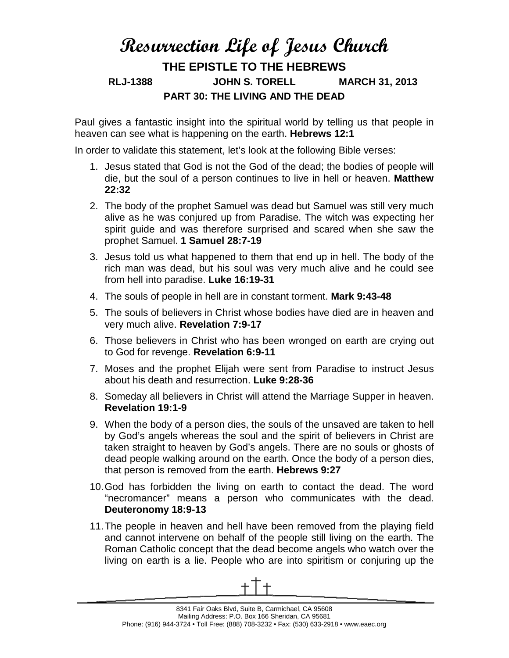## **Resurrection Life of Jesus Church THE EPISTLE TO THE HEBREWS RLJ-1388 JOHN S. TORELL MARCH 31, 2013 PART 30: THE LIVING AND THE DEAD**

Paul gives a fantastic insight into the spiritual world by telling us that people in heaven can see what is happening on the earth. **Hebrews 12:1**

In order to validate this statement, let's look at the following Bible verses:

- 1. Jesus stated that God is not the God of the dead; the bodies of people will die, but the soul of a person continues to live in hell or heaven. **Matthew 22:32**
- 2. The body of the prophet Samuel was dead but Samuel was still very much alive as he was conjured up from Paradise. The witch was expecting her spirit guide and was therefore surprised and scared when she saw the prophet Samuel. **1 Samuel 28:7-19**
- 3. Jesus told us what happened to them that end up in hell. The body of the rich man was dead, but his soul was very much alive and he could see from hell into paradise. **Luke 16:19-31**
- 4. The souls of people in hell are in constant torment. **Mark 9:43-48**
- 5. The souls of believers in Christ whose bodies have died are in heaven and very much alive. **Revelation 7:9-17**
- 6. Those believers in Christ who has been wronged on earth are crying out to God for revenge. **Revelation 6:9-11**
- 7. Moses and the prophet Elijah were sent from Paradise to instruct Jesus about his death and resurrection. **Luke 9:28-36**
- 8. Someday all believers in Christ will attend the Marriage Supper in heaven. **Revelation 19:1-9**
- 9. When the body of a person dies, the souls of the unsaved are taken to hell by God's angels whereas the soul and the spirit of believers in Christ are taken straight to heaven by God's angels. There are no souls or ghosts of dead people walking around on the earth. Once the body of a person dies, that person is removed from the earth. **Hebrews 9:27**
- 10.God has forbidden the living on earth to contact the dead. The word "necromancer" means a person who communicates with the dead. **Deuteronomy 18:9-13**
- 11.The people in heaven and hell have been removed from the playing field and cannot intervene on behalf of the people still living on the earth. The Roman Catholic concept that the dead become angels who watch over the living on earth is a lie. People who are into spiritism or conjuring up the